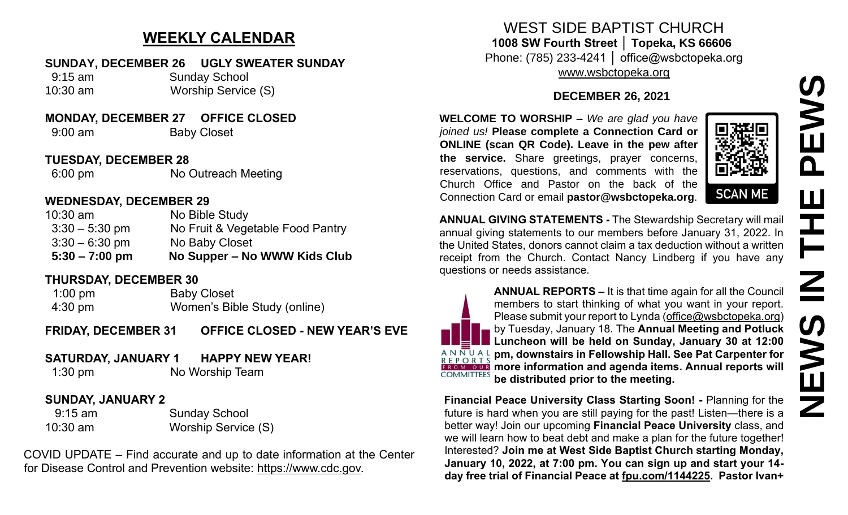# **NEWS IN THE PEWSNSWE**  $\mathbf \Omega$ H  $\blacksquare$  $\mathbf{Z}$ **S**  $\sum_{i=1}^{n}$ Z

### **WEEKLY CALENDAR**

#### **SUNDAY, DECEMBER 26 UGLY SWEATER SUNDAY**

 9:15 am Sunday School 10:30 am Worship Service (S)

#### **MONDAY, DECEMBER 27 OFFICE CLOSED**

9:00 am Baby Closet

#### **TUESDAY, DECEMBER 28**

6:00 pm No Outreach Meeting

#### **WEDNESDAY, DECEMBER 29**

| $5:30 - 7:00$ pm | No Supper – No WWW Kids Club     |
|------------------|----------------------------------|
| $3:30 - 6:30$ pm | No Baby Closet                   |
| $3:30 - 5:30$ pm | No Fruit & Vegetable Food Pantry |
| $10:30$ am       | No Bible Study                   |

#### **THURSDAY, DECEMBER 30**

1:00 pm Baby Closet 4:30 pm Women's Bible Study (online)

**FRIDAY, DECEMBER 31 OFFICE CLOSED - NEW YEAR'S EVE** 

#### **SATURDAY, JANUARY 1 HAPPY NEW YEAR!**

1:30 pm No Worship Team

#### **SUNDAY, JANUARY 2**

 9:15 am Sunday School 10:30 am Worship Service (S)

COVID UPDATE – Find accurate and up to date information at the Center for Disease Control and Prevention website: [https://www.cdc.gov.](https://www.cdc.gov/)

## WEST SIDE BAPTIST CHURCH **1008 SW Fourth Street │ Topeka, KS 66606**

Phone: (785) 233-4241 │ office@wsbctopeka.org [www.wsbctopeka.org](http://www.wsbctopeka.org/)

#### **DECEMBER 26, 2021**

**WELCOME TO WORSHIP –** *We are glad you have joined us!* **Please complete a Connection Card or ONLINE (scan QR Code). Leave in the pew after the service.** Share greetings, prayer concerns, reservations, questions, and comments with the Church Office and Pastor on the back of the Connection Card or email **pastor@wsbctopeka.org**.



**ANNUAL GIVING STATEMENTS -** The Stewardship Secretary will mail annual giving statements to our members before January 31, 2022. In the United States, donors cannot claim a tax deduction without a written receipt from the Church. Contact Nancy Lindberg if you have any questions or needs assistance.



**ANNUAL REPORTS –** It is that time again for all the Council members to start thinking of what you want in your report. Please submit your report to Lynda [\(office@wsbctopeka.org\)](mailto:office@wsbctopeka.org) by Tuesday, January 18. The **Annual Meeting and Potluck Luncheon will be held on Sunday, January 30 at 12:00 pm, downstairs in Fellowship Hall. See Pat Carpenter for EROM OUR** more information and agenda items. Annual reports will **COMMITTEES be distributed prior to the meeting.**

**Financial Peace University Class Starting Soon! -** Planning for the future is hard when you are still paying for the past! Listen—there is a better way! Join our upcoming **Financial Peace University** class, and we will learn how to beat debt and make a plan for the future together! Interested? **Join me at West Side Baptist Church starting Monday, January 10, 2022, at 7:00 pm. You can sign up and start your 14 day free trial of Financial Peace at [fpu.com/1144225.](http://fpu.com/1144225?fbclid=IwAR3-cELG2VK4ftXEKNP5jaVAz9yre0E8QNNeVgzl9TxVOUwyeYgRjBqf4K0) Pastor Ivan+**